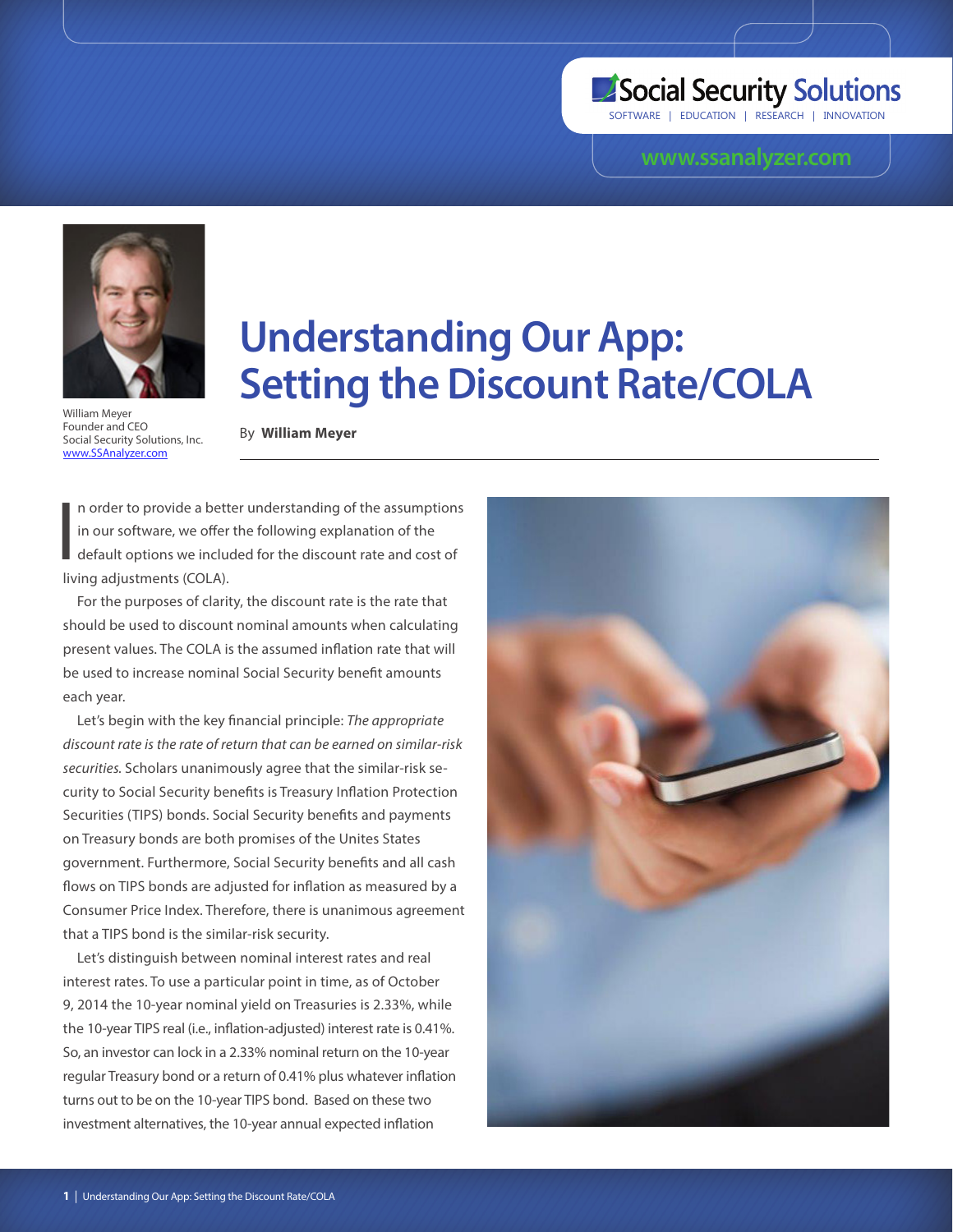# Social Security Solutions

SOFTWARE | EDUCATION | RESEARCH | INNOVATION

### **<www.ssanalyzer.com>**



William Meyer Founder and CEO Social Security Solutions, Inc. <www.SSAnalyzer.com>

# **Understanding Our App: Setting the Discount Rate/COLA**

By **William Meyer**

I n order to provide a better understanding of the assumptions in our software, we offer the following explanation of the default options we included for the discount rate and cost of living adjustments (COLA).

For the purposes of clarity, the discount rate is the rate that should be used to discount nominal amounts when calculating present values. The COLA is the assumed inflation rate that will be used to increase nominal Social Security benefit amounts each year.

Let's begin with the key financial principle: *The appropriate discount rate is the rate of return that can be earned on similar-risk securities.* Scholars unanimously agree that the similar-risk security to Social Security benefits is Treasury Inflation Protection Securities (TIPS) bonds. Social Security benefits and payments on Treasury bonds are both promises of the Unites States government. Furthermore, Social Security benefits and all cash flows on TIPS bonds are adjusted for inflation as measured by a Consumer Price Index. Therefore, there is unanimous agreement that a TIPS bond is the similar-risk security.

Let's distinguish between nominal interest rates and real interest rates. To use a particular point in time, as of October 9, 2014 the 10-year nominal yield on Treasuries is 2.33%, while the 10-year TIPS real (i.e., inflation-adjusted) interest rate is 0.41%. So, an investor can lock in a 2.33% nominal return on the 10-year regular Treasury bond or a return of 0.41% plus whatever inflation turns out to be on the 10-year TIPS bond. Based on these two investment alternatives, the 10-year annual expected inflation